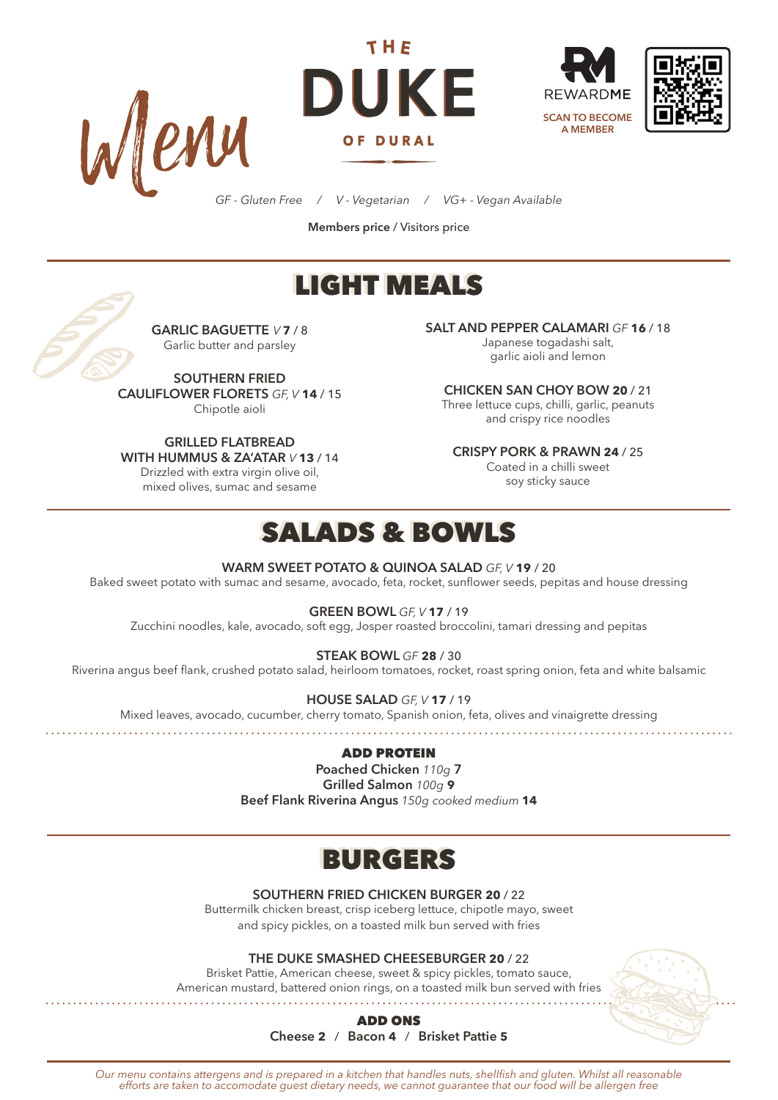







*GF - Gluten Free / V - Vegetarian / VG+ - Vegan Available*

**Members price** / Visitors price

# LIGHT MEALS



**GARLIC BAGUETTE** *V* **7** / 8 Garlic butter and parsley

**SOUTHERN FRIED CAULIFLOWER FLORETS** *GF, V* **14** / 15 Chipotle aioli

**GRILLED FLATBREAD WITH HUMMUS & ZA'ATAR** *V* **13** / 14

Drizzled with extra virgin olive oil, mixed olives, sumac and sesame

**SALT AND PEPPER CALAMARI** *GF* **16** / 18 Japanese togadashi salt,

garlic aioli and lemon

**CHICKEN SAN CHOY BOW 20** / 21 Three lettuce cups, chilli, garlic, peanuts and crispy rice noodles

**CRISPY PORK & PRAWN 24** / 25

Coated in a chilli sweet soy sticky sauce

### SALADS & BOWLS

#### **WARM SWEET POTATO & QUINOA SALAD** *GF, V* **19** / 20

Baked sweet potato with sumac and sesame, avocado, feta, rocket, sunflower seeds, pepitas and house dressing

**GREEN BOWL** *GF, V* **17** / 19

Zucchini noodles, kale, avocado, soft egg, Josper roasted broccolini, tamari dressing and pepitas

**STEAK BOWL** *GF* **28** / 30

Riverina angus beef flank, crushed potato salad, heirloom tomatoes, rocket, roast spring onion, feta and white balsamic

**HOUSE SALAD** *GF, V* **17** / 19

Mixed leaves, avocado, cucumber, cherry tomato, Spanish onion, feta, olives and vinaigrette dressing

### ADD PROTEIN

**Poached Chicken** *110g* **7 Grilled Salmon** *100g* **9 Beef Flank Riverina Angus** *150g cooked medium* **14**

# BURGERS

**SOUTHERN FRIED CHICKEN BURGER 20** / 22

Buttermilk chicken breast, crisp iceberg lettuce, chipotle mayo, sweet and spicy pickles, on a toasted milk bun served with fries

**THE DUKE SMASHED CHEESEBURGER 20** / 22

Brisket Pattie, American cheese, sweet & spicy pickles, tomato sauce, American mustard, battered onion rings, on a toasted milk bun served with fries



ADD ONS **Cheese 2** / **Bacon 4** / **Brisket Pattie 5**

*Our menu contains attergens and is prepared in a kitchen that handles nuts, shellfish and gluten. Whilst all reasonable efforts are taken to accomodate guest dietary needs, we cannot guarantee that our food will be allergen free*